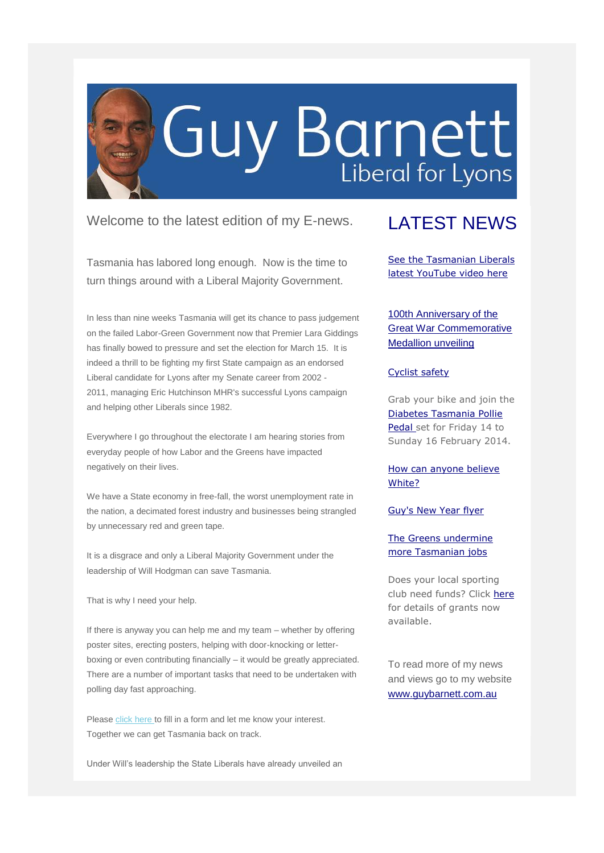

Welcome to the latest edition of my E-news.

Tasmania has labored long enough. Now is the time to turn things around with a Liberal Majority Government.

In less than nine weeks Tasmania will get its chance to pass judgement on the failed Labor-Green Government now that Premier Lara Giddings has finally bowed to pressure and set the election for March 15. It is indeed a thrill to be fighting my first State campaign as an endorsed Liberal candidate for Lyons after my Senate career from 2002 - 2011, managing Eric Hutchinson MHR's successful Lyons campaign and helping other Liberals since 1982.

Everywhere I go throughout the electorate I am hearing stories from everyday people of how Labor and the Greens have impacted negatively on their lives.

We have a State economy in free-fall, the worst unemployment rate in the nation, a decimated forest industry and businesses being strangled by unnecessary red and green tape.

It is a disgrace and only a Liberal Majority Government under the leadership of Will Hodgman can save Tasmania.

That is why I need your help.

If there is anyway you can help me and my team – whether by offering poster sites, erecting posters, helping with door-knocking or letterboxing or even contributing financially – it would be greatly appreciated. There are a number of important tasks that need to be undertaken with polling day fast approaching.

Please [click here t](http://guybarnett.us7.list-manage.com/track/click?u=275fd64499cfdeb4a6fe3e860&id=4c3a5d3e90&e=9ca3cab036)o fill in a form and let me know your interest. Together we can get Tasmania back on track.

Under Will's leadership the State Liberals have already unveiled an

## LATEST NEWS

[See the Tasmanian Liberals](http://guybarnett.us7.list-manage.com/track/click?u=275fd64499cfdeb4a6fe3e860&id=78027a6e6a&e=9ca3cab036)  [latest YouTube video here](http://guybarnett.us7.list-manage.com/track/click?u=275fd64499cfdeb4a6fe3e860&id=78027a6e6a&e=9ca3cab036)

[100th Anniversary of the](http://guybarnett.us7.list-manage1.com/track/click?u=275fd64499cfdeb4a6fe3e860&id=1a204626f0&e=9ca3cab036)  [Great War Commemorative](http://guybarnett.us7.list-manage1.com/track/click?u=275fd64499cfdeb4a6fe3e860&id=1a204626f0&e=9ca3cab036)  [Medallion unveiling](http://guybarnett.us7.list-manage1.com/track/click?u=275fd64499cfdeb4a6fe3e860&id=1a204626f0&e=9ca3cab036)

#### [Cyclist safety](http://guybarnett.us7.list-manage.com/track/click?u=275fd64499cfdeb4a6fe3e860&id=c566560208&e=9ca3cab036)

Grab your bike and join the [Diabetes Tasmania Pollie](http://guybarnett.us7.list-manage.com/track/click?u=275fd64499cfdeb4a6fe3e860&id=d873eec300&e=9ca3cab036)  [Pedal s](http://guybarnett.us7.list-manage.com/track/click?u=275fd64499cfdeb4a6fe3e860&id=d873eec300&e=9ca3cab036)et for Friday 14 to Sunday 16 February 2014.

### [How can anyone believe](http://guybarnett.us7.list-manage.com/track/click?u=275fd64499cfdeb4a6fe3e860&id=9a04143e97&e=9ca3cab036)  [White?](http://guybarnett.us7.list-manage.com/track/click?u=275fd64499cfdeb4a6fe3e860&id=9a04143e97&e=9ca3cab036)

#### [Guy's New Year flyer](http://guybarnett.us7.list-manage.com/track/click?u=275fd64499cfdeb4a6fe3e860&id=06d801841a&e=9ca3cab036)

### [The Greens undermine](http://guybarnett.us7.list-manage.com/track/click?u=275fd64499cfdeb4a6fe3e860&id=ee7a32e8ed&e=9ca3cab036)  [more Tasmanian jobs](http://guybarnett.us7.list-manage.com/track/click?u=275fd64499cfdeb4a6fe3e860&id=ee7a32e8ed&e=9ca3cab036)

Does your local sporting club need funds? Click [here](http://guybarnett.us7.list-manage2.com/track/click?u=275fd64499cfdeb4a6fe3e860&id=7c6e0e7332&e=9ca3cab036) for details of grants now available.

To read more of my news and views go to my website [www.guybarnett.com.au](http://guybarnett.us7.list-manage.com/track/click?u=275fd64499cfdeb4a6fe3e860&id=acecc73b43&e=9ca3cab036)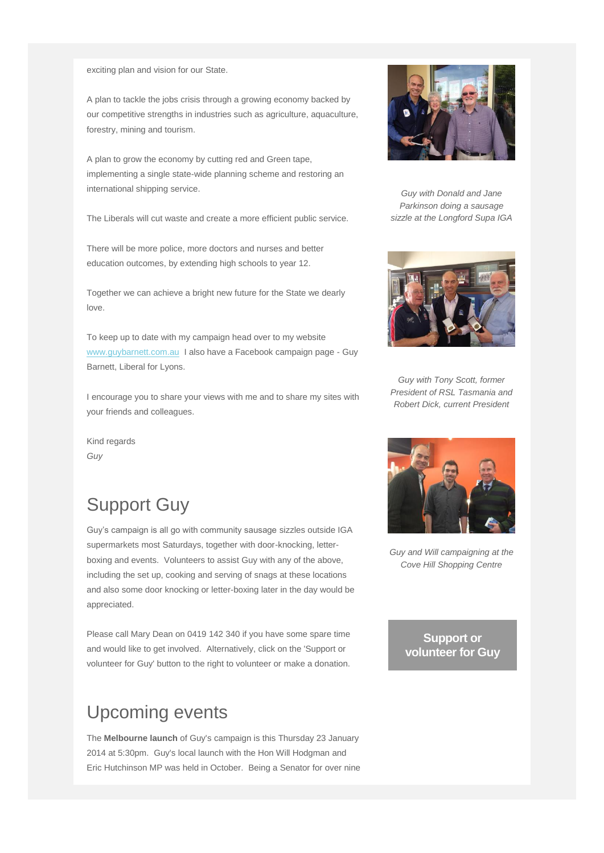exciting plan and vision for our State.

A plan to tackle the jobs crisis through a growing economy backed by our competitive strengths in industries such as agriculture, aquaculture, forestry, mining and tourism.

A plan to grow the economy by cutting red and Green tape, implementing a single state-wide planning scheme and restoring an international shipping service.

The Liberals will cut waste and create a more efficient public service.

There will be more police, more doctors and nurses and better education outcomes, by extending high schools to year 12.

Together we can achieve a bright new future for the State we dearly love.

To keep up to date with my campaign head over to my website [www.guybarnett.com.au](http://guybarnett.us7.list-manage.com/track/click?u=275fd64499cfdeb4a6fe3e860&id=1c5001f01d&e=9ca3cab036) I also have a Facebook campaign page - Guy Barnett, Liberal for Lyons.

I encourage you to share your views with me and to share my sites with your friends and colleagues.

Kind regards *Guy*

# Support Guy

Guy's campaign is all go with community sausage sizzles outside IGA supermarkets most Saturdays, together with door-knocking, letterboxing and events. Volunteers to assist Guy with any of the above, including the set up, cooking and serving of snags at these locations and also some door knocking or letter-boxing later in the day would be appreciated.

Please call Mary Dean on 0419 142 340 if you have some spare time and would like to get involved. Alternatively, click on the 'Support or volunteer for Guy' button to the right to volunteer or make a donation.

# Upcoming events

The **Melbourne launch** of Guy's campaign is this Thursday 23 January 2014 at 5:30pm. Guy's local launch with the Hon Will Hodgman and Eric Hutchinson MP was held in October. Being a Senator for over nine



*Guy with Donald and Jane Parkinson doing a sausage sizzle at the Longford Supa IGA*



*Guy with Tony Scott, former President of RSL Tasmania and Robert Dick, current President*



*Guy and Will campaigning at the Cove Hill Shopping Centre*

**[Support or](http://guybarnett.us7.list-manage.com/track/click?u=275fd64499cfdeb4a6fe3e860&id=cfa0e9b83f&e=9ca3cab036)  [volunteer for Guy](http://guybarnett.us7.list-manage.com/track/click?u=275fd64499cfdeb4a6fe3e860&id=cfa0e9b83f&e=9ca3cab036)**